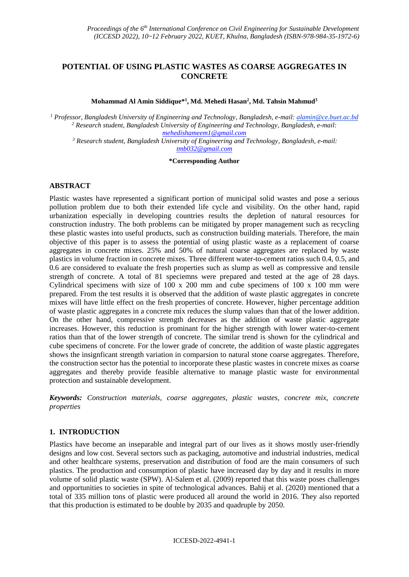# **POTENTIAL OF USING PLASTIC WASTES AS COARSE AGGREGATES IN CONCRETE**

**Mohammad Al Amin Siddique\* 1 , Md. Mehedi Hasan<sup>2</sup> , Md. Tahsin Mahmud<sup>3</sup>**

<sup>1</sup> *Professor, Bangladesh University of Engineering and Technology, Bangladesh, e-mail: alamin@ce.buet.ac.bd <sup>2</sup> Research student, Bangladesh University of Engineering and Technology, Bangladesh, e-mail: [mehedishameem1@gmail.com](mailto:mehedishameem1@gmail.com)*

*<sup>3</sup> Research student, Bangladesh University of Engineering and Technology, Bangladesh, e-mail: [tmb032@gmail.com](mailto:tmb032@gmail.com)*

#### **\*Corresponding Author**

### **ABSTRACT**

Plastic wastes have represented a significant portion of municipal solid wastes and pose a serious pollution problem due to both their extended life cycle and visibility. On the other hand, rapid urbanization especially in developing countries results the depletion of natural resources for construction industry. The both problems can be mitigated by proper management such as recycling these plastic wastes into useful products, such as construction building materials. Therefore, the main objective of this paper is to assess the potential of using plastic waste as a replacement of coarse aggregates in concrete mixes. 25% and 50% of natural coarse aggregates are replaced by waste plastics in volume fraction in concrete mixes. Three different water-to-cement ratios such 0.4, 0.5, and 0.6 are considered to evaluate the fresh properties such as slump as well as compressive and tensile strength of concrete. A total of 81 speciemns were prepared and tested at the age of 28 days. Cylindrical specimens with size of 100 x 200 mm and cube specimens of 100 x 100 mm were prepared. From the test results it is observed that the addition of waste plastic aggregates in concrete mixes will have little effect on the fresh properties of concrete. However, higher percentage addition of waste plastic aggregates in a concrete mix reduces the slump values than that of the lower addition. On the other hand, compressive strength decreases as the addition of waste plastic aggregate increases. However, this reduction is prominant for the higher strength with lower water-to-cement ratios than that of the lower strength of concrete. The similar trend is shown for the cylindrical and cube specimens of concrete. For the lower grade of concrete, the addition of waste plastic aggregates shows the insignficant strength variation in comparsion to natural stone coarse aggregates. Therefore, the construction sector has the potential to incorporate these plastic wastes in concrete mixes as coarse aggregates and thereby provide feasible alternative to manage plastic waste for environmental protection and sustainable development.

*Keywords: Construction materials, coarse aggregates, plastic wastes, concrete mix, concrete properties*

## **1. INTRODUCTION**

Plastics have become an inseparable and integral part of our lives as it shows mostly user-friendly designs and low cost. Several sectors such as packaging, automotive and industrial industries, medical and other healthcare systems, preservation and distribution of food are the main consumers of such plastics. The production and consumption of plastic have increased day by day and it results in more volume of solid plastic waste (SPW). Al-Salem et al. (2009) reported that this waste poses challenges and opportunities to societies in spite of technological advances. Bahij et al. (2020) mentioned that a total of 335 million tons of plastic were produced all around the world in 2016. They also reported that this production is estimated to be double by 2035 and quadruple by 2050.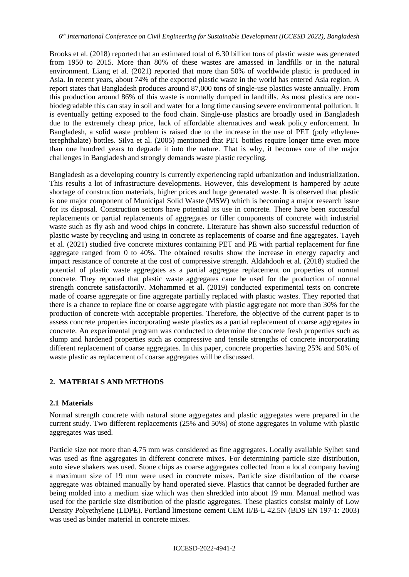Brooks et al. (2018) reported that an estimated total of 6.30 billion tons of plastic waste was generated from 1950 to 2015. More than 80% of these wastes are amassed in landfills or in the natural environment. Liang et al. (2021) reported that more than 50% of worldwide plastic is produced in Asia. In recent years, about 74% of the exported plastic waste in the world has entered Asia region. A report states that Bangladesh produces around 87,000 tons of single-use plastics waste annually. From this production around 86% of this waste is normally dumped in landfills. As most plastics are nonbiodegradable this can stay in soil and water for a long time causing severe environmental pollution. It is eventually getting exposed to the food chain. Single-use plastics are broadly used in Bangladesh due to the extremely cheap price, lack of affordable alternatives and weak policy enforcement. In Bangladesh, a solid waste problem is raised due to the increase in the use of PET (poly ethyleneterephthalate) bottles. Silva et al. (2005) mentioned that PET bottles require longer time even more than one hundred years to degrade it into the nature. That is why, it becomes one of the major challenges in Bangladesh and strongly demands waste plastic recycling.

Bangladesh as a developing country is currently experiencing rapid urbanization and industrialization. This results a lot of infrastructure developments. However, this development is hampered by acute shortage of construction materials, higher prices and huge generated waste. It is observed that plastic is one major component of Municipal Solid Waste (MSW) which is becoming a major research issue for its disposal. Construction sectors have potential its use in concrete. There have been successful replacements or partial replacements of aggregates or filler components of concrete with industrial waste such as fly ash and wood chips in concrete. Literature has shown also successful reduction of plastic waste by recycling and using in concrete as replacements of coarse and fine aggregates. Tayeh et al. (2021) studied five concrete mixtures containing PET and PE with partial replacement for fine aggregate ranged from 0 to 40%. The obtained results show the increase in energy capacity and impact resistance of concrete at the cost of compressive strength. Aldahdooh et al. (2018) studied the potential of plastic waste aggregates as a partial aggregate replacement on properties of normal concrete. They reported that plastic waste aggregates cane be used for the production of normal strength concrete satisfactorily. Mohammed et al. (2019) conducted experimental tests on concrete made of coarse aggregate or fine aggregate partially replaced with plastic wastes. They reported that there is a chance to replace fine or coarse aggregate with plastic aggregate not more than 30% for the production of concrete with acceptable properties. Therefore, the objective of the current paper is to assess concrete properties incorporating waste plastics as a partial replacement of coarse aggregates in concrete. An experimental program was conducted to determine the concrete fresh properties such as slump and hardened properties such as compressive and tensile strengths of concrete incorporating different replacement of coarse aggregates. In this paper, concrete properties having 25% and 50% of waste plastic as replacement of coarse aggregates will be discussed.

## **2. MATERIALS AND METHODS**

### **2.1 Materials**

Normal strength concrete with natural stone aggregates and plastic aggregates were prepared in the current study. Two different replacements (25% and 50%) of stone aggregates in volume with plastic aggregates was used.

Particle size not more than 4.75 mm was considered as fine aggregates. Locally available Sylhet sand was used as fine aggregates in different concrete mixes. For determining particle size distribution, auto sieve shakers was used. Stone chips as coarse aggregates collected from a local company having a maximum size of 19 mm were used in concrete mixes. Particle size distribution of the coarse aggregate was obtained manually by hand operated sieve. Plastics that cannot be degraded further are being molded into a medium size which was then shredded into about 19 mm. Manual method was used for the particle size distribution of the plastic aggregates. These plastics consist mainly of Low Density Polyethylene (LDPE). Portland limestone cement CEM II/B-L 42.5N (BDS EN 197-1: 2003) was used as binder material in concrete mixes.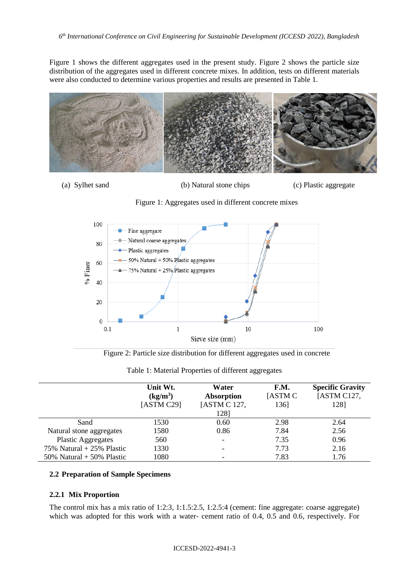Figure 1 shows the different aggregates used in the present study. Figure 2 shows the particle size distribution of the aggregates used in different concrete mixes. In addition, tests on different materials were also conducted to determine various properties and results are presented in Table 1.



(a) Sylhet sand (b) Natural stone chips (c) Plastic aggregate





Figure 2: Particle size distribution for different aggregates used in concrete

|                             | Unit Wt.<br>$(kg/m^3)$<br>[ASTM C29] | Water<br><b>Absorption</b><br>[ASTM C 127,<br>1281 | F.M.<br>[ASTM C]<br>136] | <b>Specific Gravity</b><br>[ASTM C127,<br>1281 |
|-----------------------------|--------------------------------------|----------------------------------------------------|--------------------------|------------------------------------------------|
| Sand                        | 1530                                 | 0.60                                               | 2.98                     | 2.64                                           |
| Natural stone aggregates    | 1580                                 | 0.86                                               | 7.84                     | 2.56                                           |
| <b>Plastic Aggregates</b>   | 560                                  | $\overline{\phantom{0}}$                           | 7.35                     | 0.96                                           |
| 75% Natural + 25% Plastic   | 1330                                 | -                                                  | 7.73                     | 2.16                                           |
| 50% Natural $+$ 50% Plastic | 1080                                 |                                                    | 7.83                     | 1.76                                           |

Table 1: Material Properties of different aggregates

### **2.2 Preparation of Sample Specimens**

#### **2.2.1 Mix Proportion**

The control mix has a mix ratio of 1:2:3, 1:1.5:2.5, 1:2.5:4 (cement: fine aggregate: coarse aggregate) which was adopted for this work with a water- cement ratio of 0.4, 0.5 and 0.6, respectively. For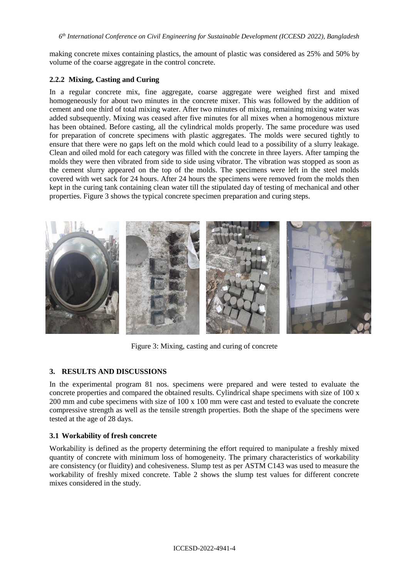*6 th International Conference on Civil Engineering for Sustainable Development (ICCESD 2022), Bangladesh*

making concrete mixes containing plastics, the amount of plastic was considered as 25% and 50% by volume of the coarse aggregate in the control concrete.

### **2.2.2 Mixing, Casting and Curing**

In a regular concrete mix, fine aggregate, coarse aggregate were weighed first and mixed homogeneously for about two minutes in the concrete mixer. This was followed by the addition of cement and one third of total mixing water. After two minutes of mixing, remaining mixing water was added subsequently. Mixing was ceased after five minutes for all mixes when a homogenous mixture has been obtained. Before casting, all the cylindrical molds properly. The same procedure was used for preparation of concrete specimens with plastic aggregates. The molds were secured tightly to ensure that there were no gaps left on the mold which could lead to a possibility of a slurry leakage. Clean and oiled mold for each category was filled with the concrete in three layers. After tamping the molds they were then vibrated from side to side using vibrator. The vibration was stopped as soon as the cement slurry appeared on the top of the molds. The specimens were left in the steel molds covered with wet sack for 24 hours. After 24 hours the specimens were removed from the molds then kept in the curing tank containing clean water till the stipulated day of testing of mechanical and other properties. Figure 3 shows the typical concrete specimen preparation and curing steps.



Figure 3: Mixing, casting and curing of concrete

## **3. RESULTS AND DISCUSSIONS**

In the experimental program 81 nos. specimens were prepared and were tested to evaluate the concrete properties and compared the obtained results. Cylindrical shape specimens with size of 100 x 200 mm and cube specimens with size of 100 x 100 mm were cast and tested to evaluate the concrete compressive strength as well as the tensile strength properties. Both the shape of the specimens were tested at the age of 28 days.

## **3.1 Workability of fresh concrete**

Workability is defined as the property determining the effort required to manipulate a freshly mixed quantity of concrete with minimum loss of homogeneity. The primary characteristics of workability are consistency (or fluidity) and cohesiveness. Slump test as per ASTM C143 was used to measure the workability of freshly mixed concrete. Table 2 shows the slump test values for different concrete mixes considered in the study.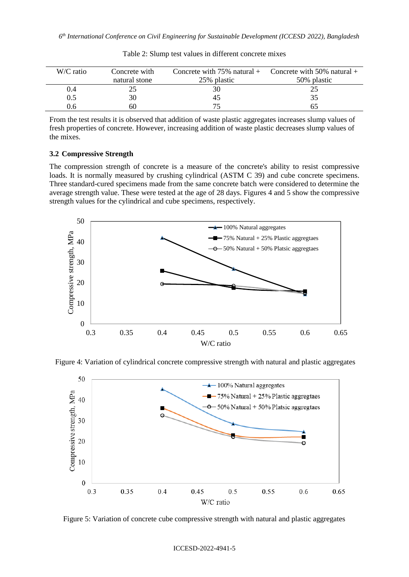| W/C ratio | Concrete with | Concrete with $75\%$ natural + | Concrete with 50% natural $+$ |
|-----------|---------------|--------------------------------|-------------------------------|
|           | natural stone | 25% plastic                    | 50% plastic                   |
| 0.4       |               | 30                             |                               |
| $\rm 0.5$ | 30            | 45                             |                               |
| 0.6       | 60            | 75                             |                               |

Table 2: Slump test values in different concrete mixes

From the test results it is observed that addition of waste plastic aggregates increases slump values of fresh properties of concrete. However, increasing addition of waste plastic decreases slump values of the mixes.

### **3.2 Compressive Strength**

The compression strength of concrete is a measure of the concrete's ability to resist compressive loads. It is normally measured by crushing cylindrical (ASTM C 39) and cube concrete specimens. Three standard-cured specimens made from the same concrete batch were considered to determine the average strength value. These were tested at the age of 28 days. Figures 4 and 5 show the compressive strength values for the cylindrical and cube specimens, respectively.



Figure 4: Variation of cylindrical concrete compressive strength with natural and plastic aggregates



Figure 5: Variation of concrete cube compressive strength with natural and plastic aggregates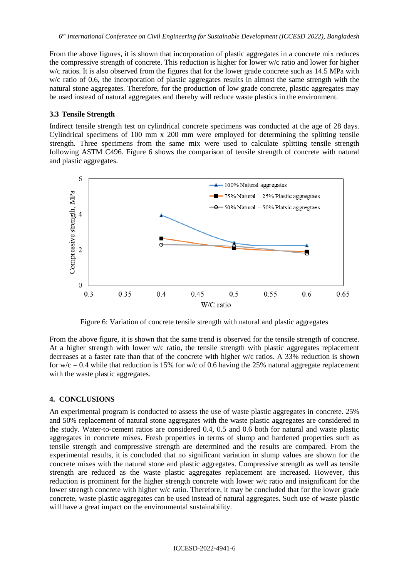From the above figures, it is shown that incorporation of plastic aggregates in a concrete mix reduces the compressive strength of concrete. This reduction is higher for lower w/c ratio and lower for higher w/c ratios. It is also observed from the figures that for the lower grade concrete such as 14.5 MPa with w/c ratio of 0.6, the incorporation of plastic aggregates results in almost the same strength with the natural stone aggregates. Therefore, for the production of low grade concrete, plastic aggregates may be used instead of natural aggregates and thereby will reduce waste plastics in the environment.

### **3.3 Tensile Strength**

Indirect tensile strength test on cylindrical concrete specimens was conducted at the age of 28 days. Cylindrical specimens of 100 mm x 200 mm were employed for determining the splitting tensile strength. Three specimens from the same mix were used to calculate splitting tensile strength following ASTM C496. Figure 6 shows the comparison of tensile strength of concrete with natural and plastic aggregates.



Figure 6: Variation of concrete tensile strength with natural and plastic aggregates

From the above figure, it is shown that the same trend is observed for the tensile strength of concrete. At a higher strength with lower w/c ratio, the tensile strength with plastic aggregates replacement decreases at a faster rate than that of the concrete with higher w/c ratios. A 33% reduction is shown for  $w/c = 0.4$  while that reduction is 15% for w/c of 0.6 having the 25% natural aggregate replacement with the waste plastic aggregates.

#### **4. CONCLUSIONS**

An experimental program is conducted to assess the use of waste plastic aggregates in concrete. 25% and 50% replacement of natural stone aggregates with the waste plastic aggregates are considered in the study. Water-to-cement ratios are considered 0.4, 0.5 and 0.6 both for natural and waste plastic aggregates in concrete mixes. Fresh properties in terms of slump and hardened properties such as tensile strength and compressive strength are determined and the results are compared. From the experimental results, it is concluded that no significant variation in slump values are shown for the concrete mixes with the natural stone and plastic aggregates. Compressive strength as well as tensile strength are reduced as the waste plastic aggregates replacement are increased. However, this reduction is prominent for the higher strength concrete with lower w/c ratio and insignificant for the lower strength concrete with higher w/c ratio. Therefore, it may be concluded that for the lower grade concrete, waste plastic aggregates can be used instead of natural aggregates. Such use of waste plastic will have a great impact on the environmental sustainability.